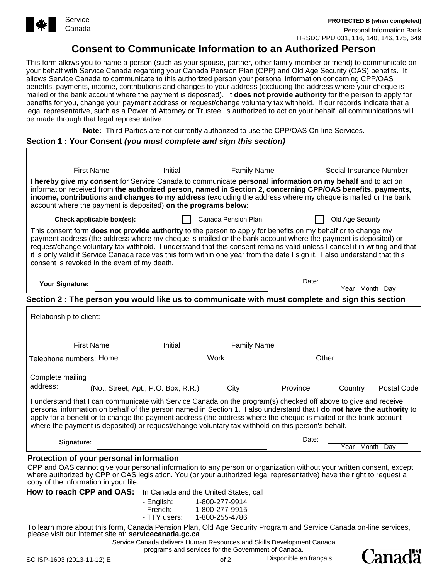

**PROTECTED B (when completed)**

Personal Information Bank HRSDC PPU 031, 116, 140, 146, 175, 649

## **Consent to Communicate Information to an Authorized Person**

This form allows you to name a person (such as your spouse, partner, other family member or friend) to communicate on your behalf with Service Canada regarding your Canada Pension Plan (CPP) and Old Age Security (OAS) benefits. It allows Service Canada to communicate to this authorized person your personal information concerning CPP/OAS benefits, payments, income, contributions and changes to your address (excluding the address where your cheque is mailed or the bank account where the payment is deposited). It **does not provide authority** for the person to apply for benefits for you, change your payment address or request/change voluntary tax withhold. If our records indicate that a legal representative, such as a Power of Attorney or Trustee, is authorized to act on your behalf, all communications will be made through that legal representative.

**Note:** Third Parties are not currently authorized to use the CPP/OAS On-line Services.

#### **Section 1 : Your Consent** *(you must complete and sign this section)*

| <b>First Name</b>                                                                                                                                                                                                                                                                                                                                                                                                                                                                                                                                 | Initial                             | <b>Family Name</b>                    |          | Social Insurance Number |  |
|---------------------------------------------------------------------------------------------------------------------------------------------------------------------------------------------------------------------------------------------------------------------------------------------------------------------------------------------------------------------------------------------------------------------------------------------------------------------------------------------------------------------------------------------------|-------------------------------------|---------------------------------------|----------|-------------------------|--|
| I hereby give my consent for Service Canada to communicate personal information on my behalf and to act on<br>information received from the authorized person, named in Section 2, concerning CPP/OAS benefits, payments,<br>income, contributions and changes to my address (excluding the address where my cheque is mailed or the bank<br>account where the payment is deposited) on the programs below:                                                                                                                                       |                                     |                                       |          |                         |  |
| Check applicable box(es):                                                                                                                                                                                                                                                                                                                                                                                                                                                                                                                         |                                     | Canada Pension Plan                   |          | Old Age Security        |  |
| This consent form <b>does not provide authority</b> to the person to apply for benefits on my behalf or to change my<br>payment address (the address where my cheque is mailed or the bank account where the payment is deposited) or<br>request/change voluntary tax withhold. I understand that this consent remains valid unless I cancel it in writing and that<br>it is only valid if Service Canada receives this form within one year from the date I sign it. I also understand that this<br>consent is revoked in the event of my death. |                                     |                                       |          |                         |  |
| Your Signature:                                                                                                                                                                                                                                                                                                                                                                                                                                                                                                                                   |                                     |                                       | Date:    |                         |  |
| Section 2 : The person you would like us to communicate with must complete and sign this section                                                                                                                                                                                                                                                                                                                                                                                                                                                  |                                     |                                       |          | Year<br>Month<br>Day    |  |
|                                                                                                                                                                                                                                                                                                                                                                                                                                                                                                                                                   |                                     |                                       |          |                         |  |
| Relationship to client:                                                                                                                                                                                                                                                                                                                                                                                                                                                                                                                           |                                     |                                       |          |                         |  |
|                                                                                                                                                                                                                                                                                                                                                                                                                                                                                                                                                   |                                     |                                       |          |                         |  |
| <b>First Name</b>                                                                                                                                                                                                                                                                                                                                                                                                                                                                                                                                 | <b>Initial</b>                      | <b>Family Name</b>                    |          |                         |  |
| Telephone numbers: Home                                                                                                                                                                                                                                                                                                                                                                                                                                                                                                                           |                                     | Work                                  |          | Other                   |  |
| Complete mailing                                                                                                                                                                                                                                                                                                                                                                                                                                                                                                                                  |                                     |                                       |          |                         |  |
| address:                                                                                                                                                                                                                                                                                                                                                                                                                                                                                                                                          | (No., Street, Apt., P.O. Box, R.R.) | City                                  | Province | Postal Code<br>Country  |  |
| I understand that I can communicate with Service Canada on the program(s) checked off above to give and receive<br>personal information on behalf of the person named in Section 1. I also understand that I do not have the authority to<br>apply for a benefit or to change the payment address (the address where the cheque is mailed or the bank account<br>where the payment is deposited) or request/change voluntary tax withhold on this person's behalf.                                                                                |                                     |                                       |          |                         |  |
| Signature:                                                                                                                                                                                                                                                                                                                                                                                                                                                                                                                                        |                                     |                                       | Date:    |                         |  |
|                                                                                                                                                                                                                                                                                                                                                                                                                                                                                                                                                   |                                     |                                       |          | Year Month<br>Day       |  |
| Protection of your personal information<br>CPP and OAS cannot give your personal information to any person or organization without your written consent, except<br>where authorized by CPP or OAS legislation. You (or your authorized legal representative) have the right to request a<br>copy of the information in your file.                                                                                                                                                                                                                 |                                     |                                       |          |                         |  |
| How to reach CPP and OAS:                                                                                                                                                                                                                                                                                                                                                                                                                                                                                                                         |                                     | In Canada and the United States, call |          |                         |  |
|                                                                                                                                                                                                                                                                                                                                                                                                                                                                                                                                                   | - English:<br>- French:             | 1-800-277-9914<br>1-800-277-9915      |          |                         |  |
|                                                                                                                                                                                                                                                                                                                                                                                                                                                                                                                                                   | - TTY users:                        | 1-800-255-4786                        |          |                         |  |
| To learn more about this form, Canada Pension Plan, Old Age Security Program and Service Canada on-line services,<br>please visit our Internet site at: servicecanada.gc.ca                                                                                                                                                                                                                                                                                                                                                                       |                                     |                                       |          |                         |  |

Disponible en français

**Canadä**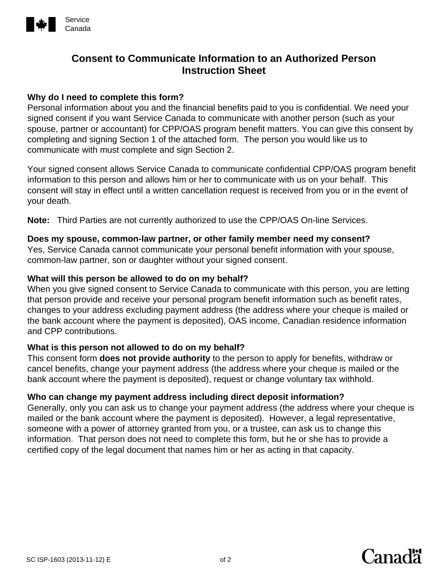

## **Consent to Communicate Information to an Authorized Person Instruction Sheet**

## **Why do I need to complete this form?**

Personal information about you and the financial benefits paid to you is confidential. We need your signed consent if you want Service Canada to communicate with another person (such as your spouse, partner or accountant) for CPP/OAS program benefit matters. You can give this consent by completing and signing Section 1 of the attached form. The person you would like us to communicate with must complete and sign Section 2.

Your signed consent allows Service Canada to communicate confidential CPP/OAS program benefit information to this person and allows him or her to communicate with us on your behalf. This consent will stay in effect until a written cancellation request is received from you or in the event of your death.

**Note:** Third Parties are not currently authorized to use the CPP/OAS On-line Services.

## **Does my spouse, common-law partner, or other family member need my consent?**

Yes, Service Canada cannot communicate your personal benefit information with your spouse, common-law partner, son or daughter without your signed consent.

## **What will this person be allowed to do on my behalf?**

When you give signed consent to Service Canada to communicate with this person, you are letting that person provide and receive your personal program benefit information such as benefit rates, changes to your address excluding payment address (the address where your cheque is mailed or the bank account where the payment is deposited), OAS income, Canadian residence information and CPP contributions.

## **What is this person not allowed to do on my behalf?**

This consent form **does not provide authority** to the person to apply for benefits, withdraw or cancel benefits, change your payment address (the address where your cheque is mailed or the bank account where the payment is deposited), request or change voluntary tax withhold.

## **Who can change my payment address including direct deposit information?**

Generally, only you can ask us to change your payment address (the address where your cheque is mailed or the bank account where the payment is deposited). However, a legal representative, someone with a power of attorney granted from you, or a trustee, can ask us to change this information. That person does not need to complete this form, but he or she has to provide a certified copy of the legal document that names him or her as acting in that capacity.